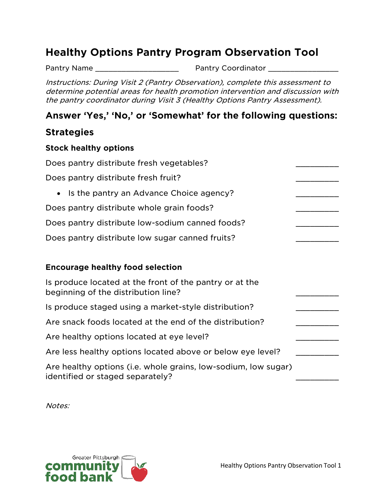# **Healthy Options Pantry Program Observation Tool**

Pantry Name \_\_\_\_\_\_\_\_\_\_\_\_\_\_\_\_\_\_\_ Pantry Coordinator \_\_\_\_\_\_\_\_\_\_\_\_\_\_\_\_

Instructions: During Visit 2 (Pantry Observation), complete this assessment to determine potential areas for health promotion intervention and discussion with the pantry coordinator during Visit 3 (Healthy Options Pantry Assessment).

# **Answer 'Yes,' 'No,' or 'Somewhat' for the following questions:**

# **Strategies**

#### **Stock healthy options**

| Does pantry distribute fresh vegetables?                                                           |  |
|----------------------------------------------------------------------------------------------------|--|
| Does pantry distribute fresh fruit?                                                                |  |
| Is the pantry an Advance Choice agency?<br>$\bullet$                                               |  |
| Does pantry distribute whole grain foods?                                                          |  |
| Does pantry distribute low-sodium canned foods?                                                    |  |
| Does pantry distribute low sugar canned fruits?                                                    |  |
|                                                                                                    |  |
| <b>Encourage healthy food selection</b>                                                            |  |
| Is produce located at the front of the pantry or at the<br>beginning of the distribution line?     |  |
| Is produce staged using a market-style distribution?                                               |  |
| Are snack foods located at the end of the distribution?                                            |  |
| Are healthy options located at eye level?                                                          |  |
| Are less healthy options located above or below eye level?                                         |  |
| Are healthy options (i.e. whole grains, low-sodium, low sugar)<br>identified or staged separately? |  |

Notes:

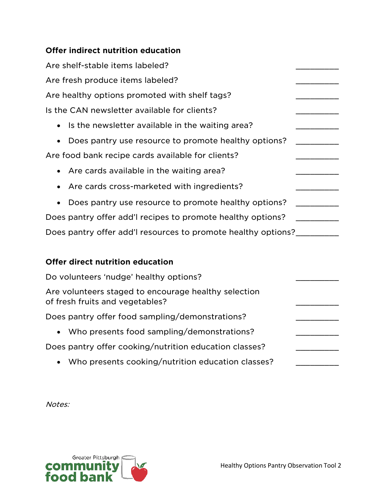# **Offer indirect nutrition education**

| Are shelf-stable items labeled?                                   |  |
|-------------------------------------------------------------------|--|
| Are fresh produce items labeled?                                  |  |
| Are healthy options promoted with shelf tags?                     |  |
| Is the CAN newsletter available for clients?                      |  |
| Is the newsletter available in the waiting area?<br>$\bullet$     |  |
| Does pantry use resource to promote healthy options?<br>$\bullet$ |  |
| Are food bank recipe cards available for clients?                 |  |
| • Are cards available in the waiting area?                        |  |
| • Are cards cross-marketed with ingredients?                      |  |
| Does pantry use resource to promote healthy options?<br>$\bullet$ |  |
| Does pantry offer add'l recipes to promote healthy options?       |  |
| Does pantry offer add'l resources to promote healthy options?     |  |

### **Offer direct nutrition education**

| Do volunteers 'nudge' healthy options?                                                  |  |
|-----------------------------------------------------------------------------------------|--|
| Are volunteers staged to encourage healthy selection<br>of fresh fruits and vegetables? |  |
| Does pantry offer food sampling/demonstrations?                                         |  |
| • Who presents food sampling/demonstrations?                                            |  |
| Does pantry offer cooking/nutrition education classes?                                  |  |
| • Who presents cooking/nutrition education classes?                                     |  |

Notes: